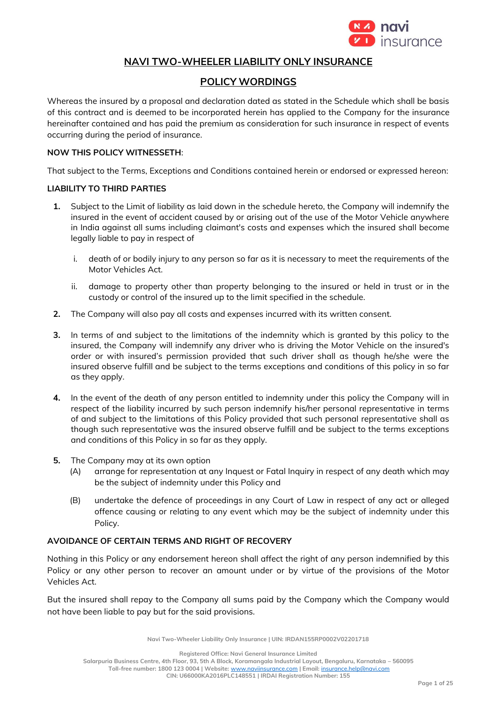

# **NAVI TWO-WHEELER LIABILITY ONLY INSURANCE**

# **POLICY WORDINGS**

Whereas the insured by a proposal and declaration dated as stated in the Schedule which shall be basis of this contract and is deemed to be incorporated herein has applied to the Company for the insurance hereinafter contained and has paid the premium as consideration for such insurance in respect of events occurring during the period of insurance.

#### **NOW THIS POLICY WITNESSETH**:

That subject to the Terms, Exceptions and Conditions contained herein or endorsed or expressed hereon:

#### **LIABILITY TO THIRD PARTIES**

- **1.** Subject to the Limit of liability as laid down in the schedule hereto, the Company will indemnify the insured in the event of accident caused by or arising out of the use of the Motor Vehicle anywhere in India against all sums including claimant's costs and expenses which the insured shall become legally liable to pay in respect of
	- i. death of or bodily injury to any person so far as it is necessary to meet the requirements of the Motor Vehicles Act.
	- ii. damage to property other than property belonging to the insured or held in trust or in the custody or control of the insured up to the limit specified in the schedule.
- **2.** The Company will also pay all costs and expenses incurred with its written consent.
- **3.** In terms of and subject to the limitations of the indemnity which is granted by this policy to the insured, the Company will indemnify any driver who is driving the Motor Vehicle on the insured's order or with insured's permission provided that such driver shall as though he/she were the insured observe fulfill and be subject to the terms exceptions and conditions of this policy in so far as they apply.
- **4.** In the event of the death of any person entitled to indemnity under this policy the Company will in respect of the liability incurred by such person indemnify his/her personal representative in terms of and subject to the limitations of this Policy provided that such personal representative shall as though such representative was the insured observe fulfill and be subject to the terms exceptions and conditions of this Policy in so far as they apply.
- **5.** The Company may at its own option
	- (A) arrange for representation at any Inquest or Fatal Inquiry in respect of any death which may be the subject of indemnity under this Policy and
	- (B) undertake the defence of proceedings in any Court of Law in respect of any act or alleged offence causing or relating to any event which may be the subject of indemnity under this Policy.

## **AVOIDANCE OF CERTAIN TERMS AND RIGHT OF RECOVERY**

Nothing in this Policy or any endorsement hereon shall affect the right of any person indemnified by this Policy or any other person to recover an amount under or by virtue of the provisions of the Motor Vehicles Act.

But the insured shall repay to the Company all sums paid by the Company which the Company would not have been liable to pay but for the said provisions.

**Navi Two-Wheeler Liability Only Insurance | UIN: IRDAN155RP0002V02201718**

**Registered Office: Navi General Insurance Limited**

**Salarpuria Business Centre, 4th Floor, 93, 5th A Block, Koramangala Industrial Layout, Bengaluru, Karnataka – 560095**

**Toll-free number: 1800 123 0004 | Website:** [www.naviinsurance.com](http://www.naviinsurance.com/) **| Email:** [insurance.help@navi.com](mailto:insurance.help@navi.com)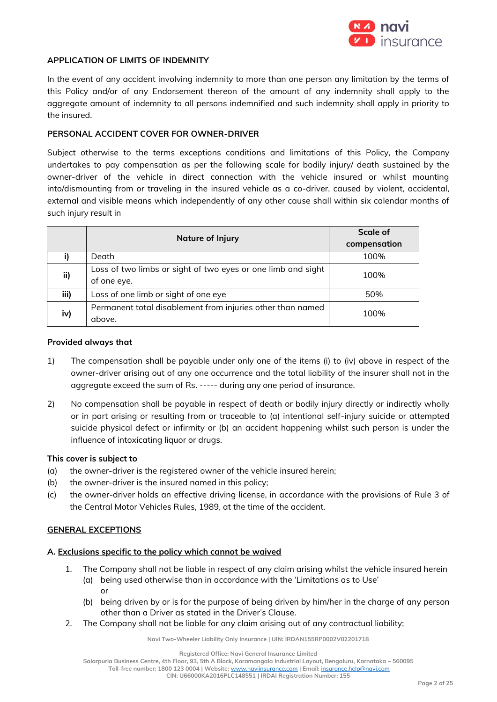

#### **APPLICATION OF LIMITS OF INDEMNITY**

In the event of any accident involving indemnity to more than one person any limitation by the terms of this Policy and/or of any Endorsement thereon of the amount of any indemnity shall apply to the aggregate amount of indemnity to all persons indemnified and such indemnity shall apply in priority to the insured.

#### **PERSONAL ACCIDENT COVER FOR OWNER-DRIVER**

Subject otherwise to the terms exceptions conditions and limitations of this Policy, the Company undertakes to pay compensation as per the following scale for bodily injury/ death sustained by the owner-driver of the vehicle in direct connection with the vehicle insured or whilst mounting into/dismounting from or traveling in the insured vehicle as a co-driver, caused by violent, accidental, external and visible means which independently of any other cause shall within six calendar months of such injury result in

|      | <b>Nature of Injury</b>                                      | <b>Scale of</b> |
|------|--------------------------------------------------------------|-----------------|
|      |                                                              | compensation    |
|      | Death                                                        | 100%            |
| ii)  | Loss of two limbs or sight of two eyes or one limb and sight | 100%            |
|      | of one eye.                                                  |                 |
| iii) | Loss of one limb or sight of one eye                         | 50%             |
| iv)  | Permanent total disablement from injuries other than named   | 100%            |
|      | above.                                                       |                 |

#### **Provided always that**

- 1) The compensation shall be payable under only one of the items (i) to (iv) above in respect of the owner-driver arising out of any one occurrence and the total liability of the insurer shall not in the aggregate exceed the sum of Rs. ----- during any one period of insurance.
- 2) No compensation shall be payable in respect of death or bodily injury directly or indirectly wholly or in part arising or resulting from or traceable to (a) intentional self-injury suicide or attempted suicide physical defect or infirmity or (b) an accident happening whilst such person is under the influence of intoxicating liquor or drugs.

#### **This cover is subject to**

- (a) the owner-driver is the registered owner of the vehicle insured herein;
- (b) the owner-driver is the insured named in this policy;
- (c) the owner-driver holds an effective driving license, in accordance with the provisions of Rule 3 of the Central Motor Vehicles Rules, 1989, at the time of the accident.

#### **GENERAL EXCEPTIONS**

## **A. Exclusions specific to the policy which cannot be waived**

- 1. The Company shall not be liable in respect of any claim arising whilst the vehicle insured herein (a) being used otherwise than in accordance with the 'Limitations as to Use' or
	- (b) being driven by or is for the purpose of being driven by him/her in the charge of any person other than a Driver as stated in the Driver's Clause.
- 2. The Company shall not be liable for any claim arising out of any contractual liability;

**Navi Two-Wheeler Liability Only Insurance | UIN: IRDAN155RP0002V02201718**

**Registered Office: Navi General Insurance Limited**

**Salarpuria Business Centre, 4th Floor, 93, 5th A Block, Koramangala Industrial Layout, Bengaluru, Karnataka – 560095**

**Toll-free number: 1800 123 0004 | Website:** [www.naviinsurance.com](http://www.naviinsurance.com/) **| Email:** [insurance.help@navi.com](mailto:insurance.help@navi.com)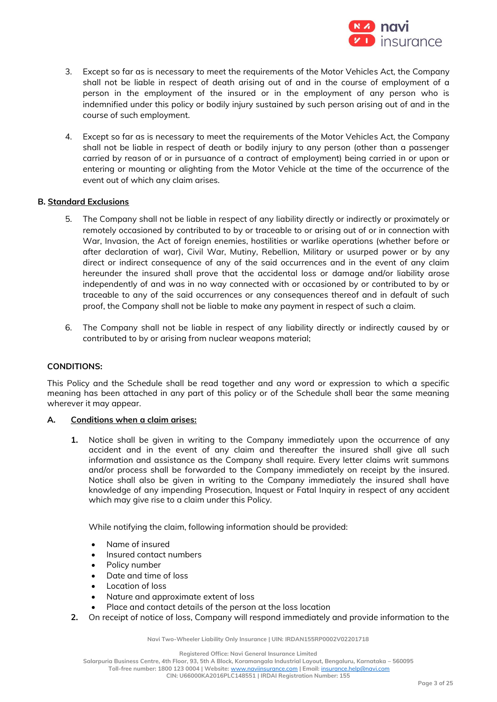

- 3. Except so far as is necessary to meet the requirements of the Motor Vehicles Act, the Company shall not be liable in respect of death arising out of and in the course of employment of a person in the employment of the insured or in the employment of any person who is indemnified under this policy or bodily injury sustained by such person arising out of and in the course of such employment.
- 4. Except so far as is necessary to meet the requirements of the Motor Vehicles Act, the Company shall not be liable in respect of death or bodily injury to any person (other than a passenger carried by reason of or in pursuance of a contract of employment) being carried in or upon or entering or mounting or alighting from the Motor Vehicle at the time of the occurrence of the event out of which any claim arises.

#### **B. Standard Exclusions**

- 5. The Company shall not be liable in respect of any liability directly or indirectly or proximately or remotely occasioned by contributed to by or traceable to or arising out of or in connection with War, Invasion, the Act of foreign enemies, hostilities or warlike operations (whether before or after declaration of war), Civil War, Mutiny, Rebellion, Military or usurped power or by any direct or indirect consequence of any of the said occurrences and in the event of any claim hereunder the insured shall prove that the accidental loss or damage and/or liability arose independently of and was in no way connected with or occasioned by or contributed to by or traceable to any of the said occurrences or any consequences thereof and in default of such proof, the Company shall not be liable to make any payment in respect of such a claim.
- 6. The Company shall not be liable in respect of any liability directly or indirectly caused by or contributed to by or arising from nuclear weapons material;

#### **CONDITIONS:**

This Policy and the Schedule shall be read together and any word or expression to which a specific meaning has been attached in any part of this policy or of the Schedule shall bear the same meaning wherever it may appear.

#### **A. Conditions when a claim arises:**

**1.** Notice shall be given in writing to the Company immediately upon the occurrence of any accident and in the event of any claim and thereafter the insured shall give all such information and assistance as the Company shall require. Every letter claims writ summons and/or process shall be forwarded to the Company immediately on receipt by the insured. Notice shall also be given in writing to the Company immediately the insured shall have knowledge of any impending Prosecution, Inquest or Fatal Inquiry in respect of any accident which may give rise to a claim under this Policy.

While notifying the claim, following information should be provided:

- Name of insured
- Insured contact numbers
- Policy number
- Date and time of loss
- Location of loss
- Nature and approximate extent of loss
- Place and contact details of the person at the loss location
- **2.** On receipt of notice of loss, Company will respond immediately and provide information to the

**Navi Two-Wheeler Liability Only Insurance | UIN: IRDAN155RP0002V02201718**

**Registered Office: Navi General Insurance Limited**

**Salarpuria Business Centre, 4th Floor, 93, 5th A Block, Koramangala Industrial Layout, Bengaluru, Karnataka – 560095**

**Toll-free number: 1800 123 0004 | Website:** [www.naviinsurance.com](http://www.naviinsurance.com/) **| Email:** [insurance.help@navi.com](mailto:insurance.help@navi.com)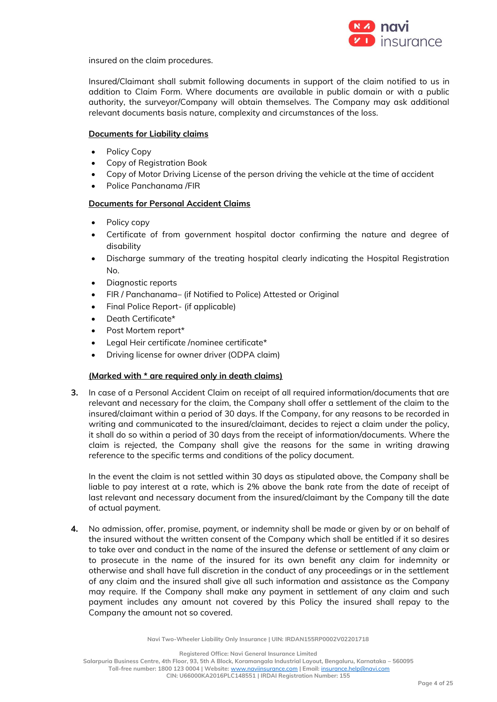

insured on the claim procedures.

Insured/Claimant shall submit following documents in support of the claim notified to us in addition to Claim Form. Where documents are available in public domain or with a public authority, the surveyor/Company will obtain themselves. The Company may ask additional relevant documents basis nature, complexity and circumstances of the loss.

#### **Documents for Liability claims**

- Policy Copy
- Copy of Registration Book
- Copy of Motor Driving License of the person driving the vehicle at the time of accident
- Police Panchanama /FIR

## **Documents for Personal Accident Claims**

- Policy copy
- Certificate of from government hospital doctor confirming the nature and degree of disability
- Discharge summary of the treating hospital clearly indicating the Hospital Registration No.
- Diagnostic reports
- FIR / Panchanama– (if Notified to Police) Attested or Original
- Final Police Report- (if applicable)
- Death Certificate\*
- Post Mortem report\*
- Legal Heir certificate /nominee certificate\*
- Driving license for owner driver (ODPA claim)

## **(Marked with \* are required only in death claims)**

**3.** In case of a Personal Accident Claim on receipt of all required information/documents that are relevant and necessary for the claim, the Company shall offer a settlement of the claim to the insured/claimant within a period of 30 days. If the Company, for any reasons to be recorded in writing and communicated to the insured/claimant, decides to reject a claim under the policy, it shall do so within a period of 30 days from the receipt of information/documents. Where the claim is rejected, the Company shall give the reasons for the same in writing drawing reference to the specific terms and conditions of the policy document.

In the event the claim is not settled within 30 days as stipulated above, the Company shall be liable to pay interest at a rate, which is 2% above the bank rate from the date of receipt of last relevant and necessary document from the insured/claimant by the Company till the date of actual payment.

**4.** No admission, offer, promise, payment, or indemnity shall be made or given by or on behalf of the insured without the written consent of the Company which shall be entitled if it so desires to take over and conduct in the name of the insured the defense or settlement of any claim or to prosecute in the name of the insured for its own benefit any claim for indemnity or otherwise and shall have full discretion in the conduct of any proceedings or in the settlement of any claim and the insured shall give all such information and assistance as the Company may require. If the Company shall make any payment in settlement of any claim and such payment includes any amount not covered by this Policy the insured shall repay to the Company the amount not so covered.

**Navi Two-Wheeler Liability Only Insurance | UIN: IRDAN155RP0002V02201718**

**Registered Office: Navi General Insurance Limited**

**Salarpuria Business Centre, 4th Floor, 93, 5th A Block, Koramangala Industrial Layout, Bengaluru, Karnataka – 560095**

**Toll-free number: 1800 123 0004 | Website:** [www.naviinsurance.com](http://www.naviinsurance.com/) **| Email:** [insurance.help@navi.com](mailto:insurance.help@navi.com)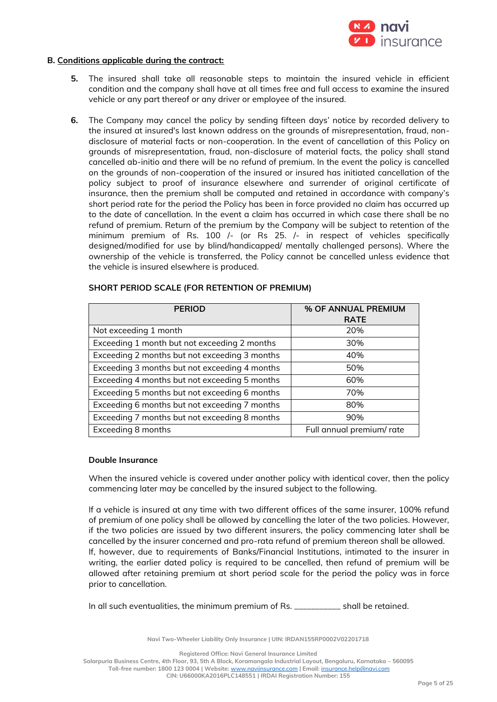

#### **B. Conditions applicable during the contract:**

- **5.** The insured shall take all reasonable steps to maintain the insured vehicle in efficient condition and the company shall have at all times free and full access to examine the insured vehicle or any part thereof or any driver or employee of the insured.
- **6.** The Company may cancel the policy by sending fifteen days' notice by recorded delivery to the insured at insured's last known address on the grounds of misrepresentation, fraud, nondisclosure of material facts or non-cooperation. In the event of cancellation of this Policy on grounds of misrepresentation, fraud, non-disclosure of material facts, the policy shall stand cancelled ab-initio and there will be no refund of premium. In the event the policy is cancelled on the grounds of non-cooperation of the insured or insured has initiated cancellation of the policy subject to proof of insurance elsewhere and surrender of original certificate of insurance, then the premium shall be computed and retained in accordance with company's short period rate for the period the Policy has been in force provided no claim has occurred up to the date of cancellation. In the event a claim has occurred in which case there shall be no refund of premium. Return of the premium by the Company will be subject to retention of the minimum premium of Rs. 100 /- (or Rs 25. /- in respect of vehicles specifically designed/modified for use by blind/handicapped/ mentally challenged persons). Where the ownership of the vehicle is transferred, the Policy cannot be cancelled unless evidence that the vehicle is insured elsewhere is produced.

| <b>PERIOD</b>                                 | % OF ANNUAL PREMIUM      |
|-----------------------------------------------|--------------------------|
|                                               | <b>RATE</b>              |
| Not exceeding 1 month                         | 20%                      |
| Exceeding 1 month but not exceeding 2 months  | 30%                      |
| Exceeding 2 months but not exceeding 3 months | 40%                      |
| Exceeding 3 months but not exceeding 4 months | 50%                      |
| Exceeding 4 months but not exceeding 5 months | 60%                      |
| Exceeding 5 months but not exceeding 6 months | 70%                      |
| Exceeding 6 months but not exceeding 7 months | 80%                      |
| Exceeding 7 months but not exceeding 8 months | 90%                      |
| Exceeding 8 months                            | Full annual premium/rate |

#### **SHORT PERIOD SCALE (FOR RETENTION OF PREMIUM)**

#### **Double Insurance**

When the insured vehicle is covered under another policy with identical cover, then the policy commencing later may be cancelled by the insured subject to the following.

If a vehicle is insured at any time with two different offices of the same insurer, 100% refund of premium of one policy shall be allowed by cancelling the later of the two policies. However, if the two policies are issued by two different insurers, the policy commencing later shall be cancelled by the insurer concerned and pro-rata refund of premium thereon shall be allowed. If, however, due to requirements of Banks/Financial Institutions, intimated to the insurer in writing, the earlier dated policy is required to be cancelled, then refund of premium will be allowed after retaining premium at short period scale for the period the policy was in force prior to cancellation.

In all such eventualities, the minimum premium of Rs. \_\_\_\_\_\_\_\_\_\_\_ shall be retained.

**Navi Two-Wheeler Liability Only Insurance | UIN: IRDAN155RP0002V02201718**

**Registered Office: Navi General Insurance Limited**

**Salarpuria Business Centre, 4th Floor, 93, 5th A Block, Koramangala Industrial Layout, Bengaluru, Karnataka – 560095**

**Toll-free number: 1800 123 0004 | Website:** [www.naviinsurance.com](http://www.naviinsurance.com/) **| Email:** [insurance.help@navi.com](mailto:insurance.help@navi.com)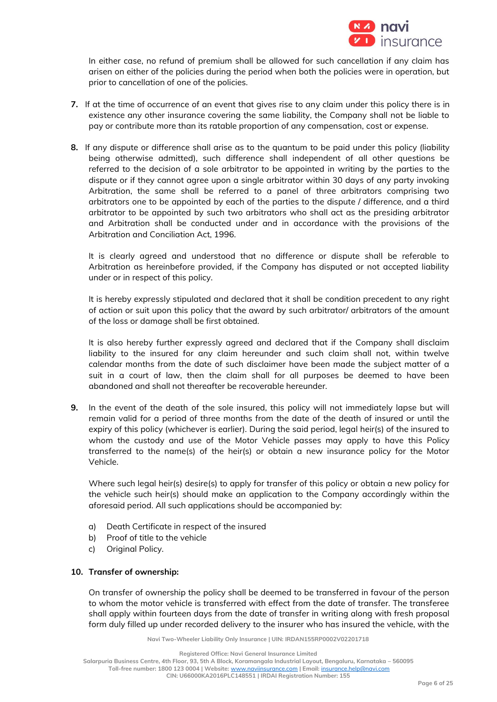

In either case, no refund of premium shall be allowed for such cancellation if any claim has arisen on either of the policies during the period when both the policies were in operation, but prior to cancellation of one of the policies.

- **7.** If at the time of occurrence of an event that gives rise to any claim under this policy there is in existence any other insurance covering the same liability, the Company shall not be liable to pay or contribute more than its ratable proportion of any compensation, cost or expense.
- **8.** If any dispute or difference shall arise as to the quantum to be paid under this policy (liability being otherwise admitted), such difference shall independent of all other questions be referred to the decision of a sole arbitrator to be appointed in writing by the parties to the dispute or if they cannot agree upon a single arbitrator within 30 days of any party invoking Arbitration, the same shall be referred to a panel of three arbitrators comprising two arbitrators one to be appointed by each of the parties to the dispute / difference, and a third arbitrator to be appointed by such two arbitrators who shall act as the presiding arbitrator and Arbitration shall be conducted under and in accordance with the provisions of the Arbitration and Conciliation Act, 1996.

It is clearly agreed and understood that no difference or dispute shall be referable to Arbitration as hereinbefore provided, if the Company has disputed or not accepted liability under or in respect of this policy.

It is hereby expressly stipulated and declared that it shall be condition precedent to any right of action or suit upon this policy that the award by such arbitrator/ arbitrators of the amount of the loss or damage shall be first obtained.

It is also hereby further expressly agreed and declared that if the Company shall disclaim liability to the insured for any claim hereunder and such claim shall not, within twelve calendar months from the date of such disclaimer have been made the subject matter of a suit in a court of law, then the claim shall for all purposes be deemed to have been abandoned and shall not thereafter be recoverable hereunder.

**9.** In the event of the death of the sole insured, this policy will not immediately lapse but will remain valid for a period of three months from the date of the death of insured or until the expiry of this policy (whichever is earlier). During the said period, legal heir(s) of the insured to whom the custody and use of the Motor Vehicle passes may apply to have this Policy transferred to the name(s) of the heir(s) or obtain a new insurance policy for the Motor Vehicle.

Where such legal heir(s) desire(s) to apply for transfer of this policy or obtain a new policy for the vehicle such heir(s) should make an application to the Company accordingly within the aforesaid period. All such applications should be accompanied by:

- a) Death Certificate in respect of the insured
- b) Proof of title to the vehicle
- c) Original Policy.

## **10. Transfer of ownership:**

On transfer of ownership the policy shall be deemed to be transferred in favour of the person to whom the motor vehicle is transferred with effect from the date of transfer. The transferee shall apply within fourteen days from the date of transfer in writing along with fresh proposal form duly filled up under recorded delivery to the insurer who has insured the vehicle, with the

**Navi Two-Wheeler Liability Only Insurance | UIN: IRDAN155RP0002V02201718**

**Salarpuria Business Centre, 4th Floor, 93, 5th A Block, Koramangala Industrial Layout, Bengaluru, Karnataka – 560095**

**Toll-free number: 1800 123 0004 | Website:** [www.naviinsurance.com](http://www.naviinsurance.com/) **| Email:** [insurance.help@navi.com](mailto:insurance.help@navi.com)

**Registered Office: Navi General Insurance Limited**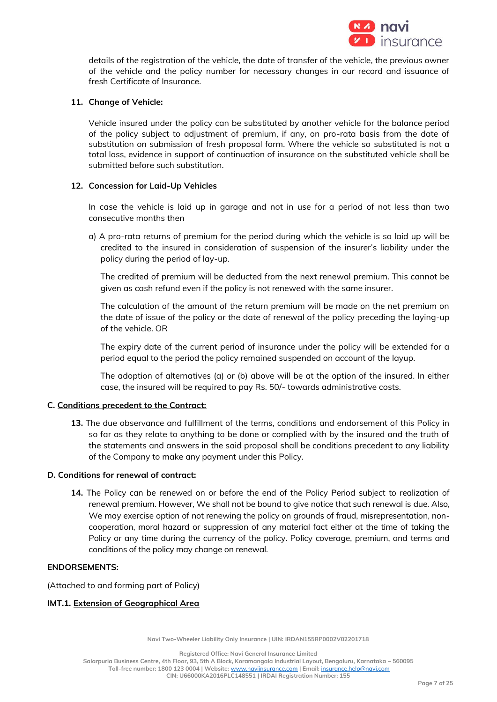

details of the registration of the vehicle, the date of transfer of the vehicle, the previous owner of the vehicle and the policy number for necessary changes in our record and issuance of fresh Certificate of Insurance.

## **11. Change of Vehicle:**

Vehicle insured under the policy can be substituted by another vehicle for the balance period of the policy subject to adjustment of premium, if any, on pro-rata basis from the date of substitution on submission of fresh proposal form. Where the vehicle so substituted is not a total loss, evidence in support of continuation of insurance on the substituted vehicle shall be submitted before such substitution.

#### **12. Concession for Laid-Up Vehicles**

In case the vehicle is laid up in garage and not in use for a period of not less than two consecutive months then

a) A pro-rata returns of premium for the period during which the vehicle is so laid up will be credited to the insured in consideration of suspension of the insurer's liability under the policy during the period of lay-up.

The credited of premium will be deducted from the next renewal premium. This cannot be given as cash refund even if the policy is not renewed with the same insurer.

The calculation of the amount of the return premium will be made on the net premium on the date of issue of the policy or the date of renewal of the policy preceding the laying-up of the vehicle. OR

The expiry date of the current period of insurance under the policy will be extended for a period equal to the period the policy remained suspended on account of the layup.

The adoption of alternatives (a) or (b) above will be at the option of the insured. In either case, the insured will be required to pay Rs. 50/- towards administrative costs.

## **C. Conditions precedent to the Contract:**

**13.** The due observance and fulfillment of the terms, conditions and endorsement of this Policy in so far as they relate to anything to be done or complied with by the insured and the truth of the statements and answers in the said proposal shall be conditions precedent to any liability of the Company to make any payment under this Policy.

#### **D. Conditions for renewal of contract:**

**14.** The Policy can be renewed on or before the end of the Policy Period subject to realization of renewal premium. However, We shall not be bound to give notice that such renewal is due. Also, We may exercise option of not renewing the policy on grounds of fraud, misrepresentation, noncooperation, moral hazard or suppression of any material fact either at the time of taking the Policy or any time during the currency of the policy. Policy coverage, premium, and terms and conditions of the policy may change on renewal.

#### **ENDORSEMENTS:**

(Attached to and forming part of Policy)

## **IMT.1. Extension of Geographical Area**

**Navi Two-Wheeler Liability Only Insurance | UIN: IRDAN155RP0002V02201718**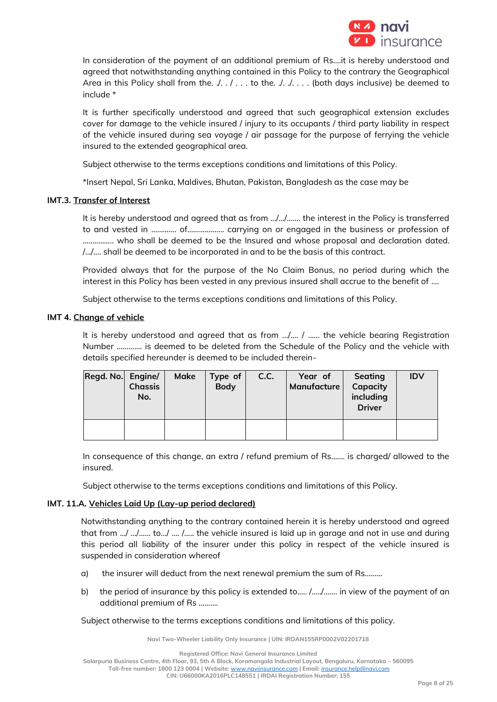

In consideration of the payment of an additional premium of Rs….it is hereby understood and agreed that notwithstanding anything contained in this Policy to the contrary the Geographical Area in this Policy shall from the.  $\ldots$  ... to the.  $\ldots$  ... (both days inclusive) be deemed to include \*

It is further specifically understood and agreed that such geographical extension excludes cover for damage to the vehicle insured / injury to its occupants / third party liability in respect of the vehicle insured during sea voyage / air passage for the purpose of ferrying the vehicle insured to the extended geographical area.

Subject otherwise to the terms exceptions conditions and limitations of this Policy.

\*Insert Nepal, Sri Lanka, Maldives, Bhutan, Pakistan, Bangladesh as the case may be

## **IMT.3. Transfer of Interest**

It is hereby understood and agreed that as from …/…/……. the interest in the Policy is transferred to and vested in ……….... of………………. carrying on or engaged in the business or profession of ……………. who shall be deemed to be the Insured and whose proposal and declaration dated. /…/…. shall be deemed to be incorporated in and to be the basis of this contract.

Provided always that for the purpose of the No Claim Bonus, no period during which the interest in this Policy has been vested in any previous insured shall accrue to the benefit of ....

Subject otherwise to the terms exceptions conditions and limitations of this Policy.

## **IMT 4. Change of vehicle**

It is hereby understood and agreed that as from .../.... / ...... the vehicle bearing Registration Number …………. is deemed to be deleted from the Schedule of the Policy and the vehicle with details specified hereunder is deemed to be included therein-

| Regd. No. Engine/ | <b>Chassis</b><br>No. | Make | Type of<br><b>Body</b> | C.C. | Year of<br>Manufacture | Seating<br>Capacity<br>including<br><b>Driver</b> | <b>IDV</b> |
|-------------------|-----------------------|------|------------------------|------|------------------------|---------------------------------------------------|------------|
|                   |                       |      |                        |      |                        |                                                   |            |

In consequence of this change, an extra / refund premium of Rs….... is charged/ allowed to the insured.

Subject otherwise to the terms exceptions conditions and limitations of this Policy.

## **IMT. 11.A. Vehicles Laid Up (Lay-up period declared)**

Notwithstanding anything to the contrary contained herein it is hereby understood and agreed that from …/ …/…... to…/ …. /….. the vehicle insured is laid up in garage and not in use and during this period all liability of the insurer under this policy in respect of the vehicle insured is suspended in consideration whereof

- a) the insurer will deduct from the next renewal premium the sum of Rs………
- b) the period of insurance by this policy is extended to..... /............. in view of the payment of an additional premium of Rs ……….

Subject otherwise to the terms exceptions conditions and limitations of this policy.

**Navi Two-Wheeler Liability Only Insurance | UIN: IRDAN155RP0002V02201718**

**Salarpuria Business Centre, 4th Floor, 93, 5th A Block, Koramangala Industrial Layout, Bengaluru, Karnataka – 560095**

**Toll-free number: 1800 123 0004 | Website:** [www.naviinsurance.com](http://www.naviinsurance.com/) **| Email:** [insurance.help@navi.com](mailto:insurance.help@navi.com)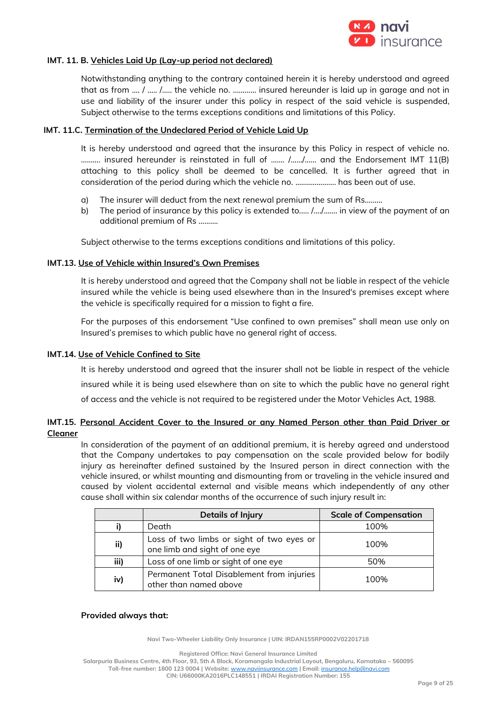

## **IMT. 11. B. Vehicles Laid Up (Lay-up period not declared)**

Notwithstanding anything to the contrary contained herein it is hereby understood and agreed that as from …. / ….. /….. the vehicle no. ………… insured hereunder is laid up in garage and not in use and liability of the insurer under this policy in respect of the said vehicle is suspended, Subject otherwise to the terms exceptions conditions and limitations of this Policy.

#### **IMT. 11.C. Termination of the Undeclared Period of Vehicle Laid Up**

It is hereby understood and agreed that the insurance by this Policy in respect of vehicle no. ………. insured hereunder is reinstated in full of ……. /……/…… and the Endorsement IMT 11(B) attaching to this policy shall be deemed to be cancelled. It is further agreed that in consideration of the period during which the vehicle no. ..………………. has been out of use.

- a) The insurer will deduct from the next renewal premium the sum of Rs………
- b) The period of insurance by this policy is extended to.…. /…./……. in view of the payment of an additional premium of Rs ……….

Subject otherwise to the terms exceptions conditions and limitations of this policy.

#### **IMT.13. Use of Vehicle within Insured's Own Premises**

It is hereby understood and agreed that the Company shall not be liable in respect of the vehicle insured while the vehicle is being used elsewhere than in the Insured's premises except where the vehicle is specifically required for a mission to fight a fire.

For the purposes of this endorsement "Use confined to own premises" shall mean use only on Insured's premises to which public have no general right of access.

#### **IMT.14. Use of Vehicle Confined to Site**

It is hereby understood and agreed that the insurer shall not be liable in respect of the vehicle insured while it is being used elsewhere than on site to which the public have no general right of access and the vehicle is not required to be registered under the Motor Vehicles Act, 1988.

## **IMT.15. Personal Accident Cover to the Insured or any Named Person other than Paid Driver or Cleaner**

In consideration of the payment of an additional premium, it is hereby agreed and understood that the Company undertakes to pay compensation on the scale provided below for bodily injury as hereinafter defined sustained by the Insured person in direct connection with the vehicle insured, or whilst mounting and dismounting from or traveling in the vehicle insured and caused by violent accidental external and visible means which independently of any other cause shall within six calendar months of the occurrence of such injury result in:

|      | <b>Details of Injury</b>                                                   | <b>Scale of Compensation</b> |
|------|----------------------------------------------------------------------------|------------------------------|
|      | Death                                                                      | 100%                         |
| ii)  | Loss of two limbs or sight of two eyes or<br>one limb and sight of one eye | 100%                         |
| iii) | Loss of one limb or sight of one eye                                       | 50%                          |
| iv)  | Permanent Total Disablement from injuries<br>other than named above        | 100%                         |

#### **Provided always that:**

**Navi Two-Wheeler Liability Only Insurance | UIN: IRDAN155RP0002V02201718**

**Registered Office: Navi General Insurance Limited**

**Salarpuria Business Centre, 4th Floor, 93, 5th A Block, Koramangala Industrial Layout, Bengaluru, Karnataka – 560095**

**Toll-free number: 1800 123 0004 | Website:** [www.naviinsurance.com](http://www.naviinsurance.com/) **| Email:** [insurance.help@navi.com](mailto:insurance.help@navi.com)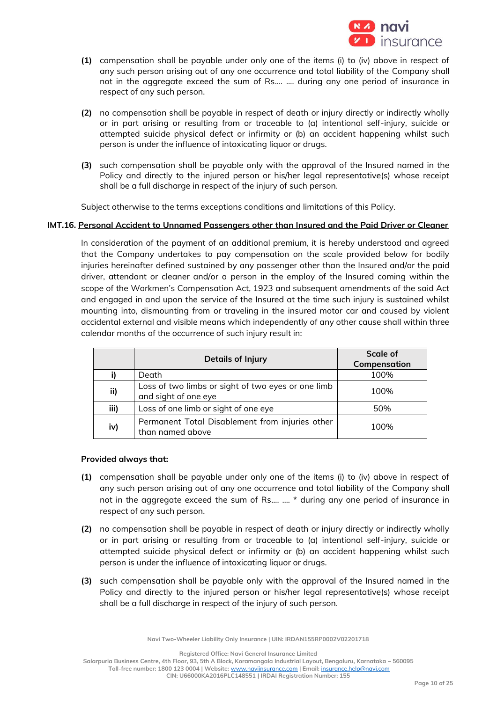

- **(1)** compensation shall be payable under only one of the items (i) to (iv) above in respect of any such person arising out of any one occurrence and total liability of the Company shall not in the aggregate exceed the sum of Rs.... …. during any one period of insurance in respect of any such person.
- **(2)** no compensation shall be payable in respect of death or injury directly or indirectly wholly or in part arising or resulting from or traceable to (a) intentional self-injury, suicide or attempted suicide physical defect or infirmity or (b) an accident happening whilst such person is under the influence of intoxicating liquor or drugs.
- **(3)** such compensation shall be payable only with the approval of the Insured named in the Policy and directly to the injured person or his/her legal representative(s) whose receipt shall be a full discharge in respect of the injury of such person.

Subject otherwise to the terms exceptions conditions and limitations of this Policy.

## **IMT.16. Personal Accident to Unnamed Passengers other than Insured and the Paid Driver or Cleaner**

In consideration of the payment of an additional premium, it is hereby understood and agreed that the Company undertakes to pay compensation on the scale provided below for bodily injuries hereinafter defined sustained by any passenger other than the Insured and/or the paid driver, attendant or cleaner and/or a person in the employ of the Insured coming within the scope of the Workmen's Compensation Act, 1923 and subsequent amendments of the said Act and engaged in and upon the service of the Insured at the time such injury is sustained whilst mounting into, dismounting from or traveling in the insured motor car and caused by violent accidental external and visible means which independently of any other cause shall within three calendar months of the occurrence of such injury result in:

|      | <b>Details of Injury</b>                                                   | Scale of     |
|------|----------------------------------------------------------------------------|--------------|
|      |                                                                            | Compensation |
|      | Death                                                                      | 100%         |
| ii)  | Loss of two limbs or sight of two eyes or one limb<br>and sight of one eye | 100%         |
| iii) | Loss of one limb or sight of one eye                                       | 50%          |
| iv)  | Permanent Total Disablement from injuries other<br>than named above        | 100%         |

## **Provided always that:**

- **(1)** compensation shall be payable under only one of the items (i) to (iv) above in respect of any such person arising out of any one occurrence and total liability of the Company shall not in the aggregate exceed the sum of Rs.... …. \* during any one period of insurance in respect of any such person.
- **(2)** no compensation shall be payable in respect of death or injury directly or indirectly wholly or in part arising or resulting from or traceable to (a) intentional self-injury, suicide or attempted suicide physical defect or infirmity or (b) an accident happening whilst such person is under the influence of intoxicating liquor or drugs.
- **(3)** such compensation shall be payable only with the approval of the Insured named in the Policy and directly to the injured person or his/her legal representative(s) whose receipt shall be a full discharge in respect of the injury of such person.

**Navi Two-Wheeler Liability Only Insurance | UIN: IRDAN155RP0002V02201718**

**Registered Office: Navi General Insurance Limited**

**Salarpuria Business Centre, 4th Floor, 93, 5th A Block, Koramangala Industrial Layout, Bengaluru, Karnataka – 560095**

**Toll-free number: 1800 123 0004 | Website:** [www.naviinsurance.com](http://www.naviinsurance.com/) **| Email:** [insurance.help@navi.com](mailto:insurance.help@navi.com)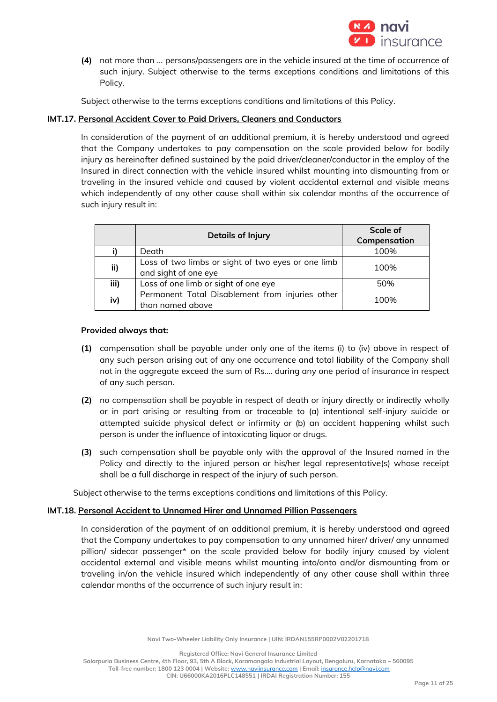

**(4)** not more than … persons/passengers are in the vehicle insured at the time of occurrence of such injury. Subject otherwise to the terms exceptions conditions and limitations of this Policy.

Subject otherwise to the terms exceptions conditions and limitations of this Policy.

## **IMT.17. Personal Accident Cover to Paid Drivers, Cleaners and Conductors**

In consideration of the payment of an additional premium, it is hereby understood and agreed that the Company undertakes to pay compensation on the scale provided below for bodily injury as hereinafter defined sustained by the paid driver/cleaner/conductor in the employ of the Insured in direct connection with the vehicle insured whilst mounting into dismounting from or traveling in the insured vehicle and caused by violent accidental external and visible means which independently of any other cause shall within six calendar months of the occurrence of such injury result in:

|      | <b>Details of Injury</b>                                                   | Scale of<br>Compensation |
|------|----------------------------------------------------------------------------|--------------------------|
|      | Death                                                                      | 100%                     |
| ii)  | Loss of two limbs or sight of two eyes or one limb<br>and sight of one eye | 100%                     |
| iii) | Loss of one limb or sight of one eye                                       | 50%                      |
| iv)  | Permanent Total Disablement from injuries other<br>than named above        | 100%                     |

## **Provided always that:**

- **(1)** compensation shall be payable under only one of the items (i) to (iv) above in respect of any such person arising out of any one occurrence and total liability of the Company shall not in the aggregate exceed the sum of Rs.... during any one period of insurance in respect of any such person.
- **(2)** no compensation shall be payable in respect of death or injury directly or indirectly wholly or in part arising or resulting from or traceable to (a) intentional self-injury suicide or attempted suicide physical defect or infirmity or (b) an accident happening whilst such person is under the influence of intoxicating liquor or drugs.
- **(3)** such compensation shall be payable only with the approval of the Insured named in the Policy and directly to the injured person or his/her legal representative(s) whose receipt shall be a full discharge in respect of the injury of such person.

Subject otherwise to the terms exceptions conditions and limitations of this Policy.

## **IMT.18. Personal Accident to Unnamed Hirer and Unnamed Pillion Passengers**

In consideration of the payment of an additional premium, it is hereby understood and agreed that the Company undertakes to pay compensation to any unnamed hirer/ driver/ any unnamed pillion/ sidecar passenger\* on the scale provided below for bodily injury caused by violent accidental external and visible means whilst mounting into/onto and/or dismounting from or traveling in/on the vehicle insured which independently of any other cause shall within three calendar months of the occurrence of such injury result in:

**Registered Office: Navi General Insurance Limited**

**Toll-free number: 1800 123 0004 | Website:** [www.naviinsurance.com](http://www.naviinsurance.com/) **| Email:** [insurance.help@navi.com](mailto:insurance.help@navi.com)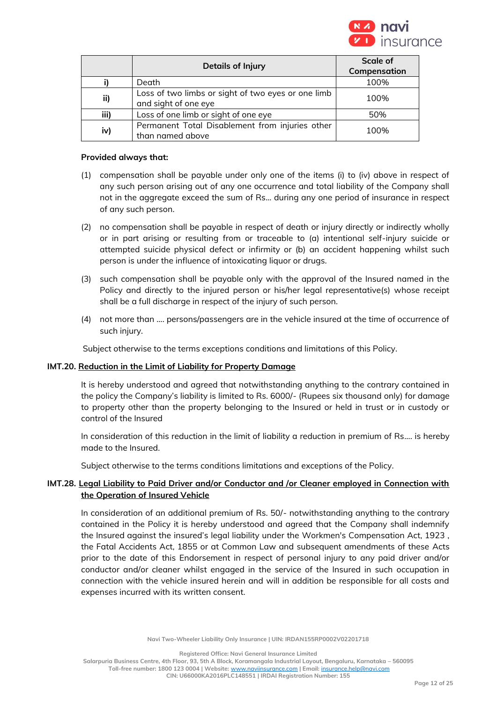

|      | <b>Details of Injury</b>                                                   | Scale of     |
|------|----------------------------------------------------------------------------|--------------|
|      |                                                                            | Compensation |
|      | Death                                                                      | 100%         |
| ii)  | Loss of two limbs or sight of two eyes or one limb<br>and sight of one eye | 100%         |
| iii) | Loss of one limb or sight of one eye                                       | 50%          |
| iv)  | Permanent Total Disablement from injuries other<br>than named above        | 100%         |

#### **Provided always that:**

- (1) compensation shall be payable under only one of the items (i) to (iv) above in respect of any such person arising out of any one occurrence and total liability of the Company shall not in the aggregate exceed the sum of Rs... during any one period of insurance in respect of any such person.
- (2) no compensation shall be payable in respect of death or injury directly or indirectly wholly or in part arising or resulting from or traceable to (a) intentional self-injury suicide or attempted suicide physical defect or infirmity or (b) an accident happening whilst such person is under the influence of intoxicating liquor or drugs.
- (3) such compensation shall be payable only with the approval of the Insured named in the Policy and directly to the injured person or his/her legal representative(s) whose receipt shall be a full discharge in respect of the injury of such person.
- (4) not more than …. persons/passengers are in the vehicle insured at the time of occurrence of such injury.

Subject otherwise to the terms exceptions conditions and limitations of this Policy.

## **IMT.20. Reduction in the Limit of Liability for Property Damage**

It is hereby understood and agreed that notwithstanding anything to the contrary contained in the policy the Company's liability is limited to Rs. 6000/- (Rupees six thousand only) for damage to property other than the property belonging to the Insured or held in trust or in custody or control of the Insured

In consideration of this reduction in the limit of liability a reduction in premium of Rs…. is hereby made to the Insured.

Subject otherwise to the terms conditions limitations and exceptions of the Policy.

## **IMT.28. Legal Liability to Paid Driver and/or Conductor and /or Cleaner employed in Connection with the Operation of Insured Vehicle**

In consideration of an additional premium of Rs. 50/- notwithstanding anything to the contrary contained in the Policy it is hereby understood and agreed that the Company shall indemnify the Insured against the insured's legal liability under the Workmen's Compensation Act, 1923 , the Fatal Accidents Act, 1855 or at Common Law and subsequent amendments of these Acts prior to the date of this Endorsement in respect of personal injury to any paid driver and/or conductor and/or cleaner whilst engaged in the service of the Insured in such occupation in connection with the vehicle insured herein and will in addition be responsible for all costs and expenses incurred with its written consent.

**Navi Two-Wheeler Liability Only Insurance | UIN: IRDAN155RP0002V02201718**

**Registered Office: Navi General Insurance Limited**

**Salarpuria Business Centre, 4th Floor, 93, 5th A Block, Koramangala Industrial Layout, Bengaluru, Karnataka – 560095 Toll-free number: 1800 123 0004 | Website:** [www.naviinsurance.com](http://www.naviinsurance.com/) **| Email:** [insurance.help@navi.com](mailto:insurance.help@navi.com)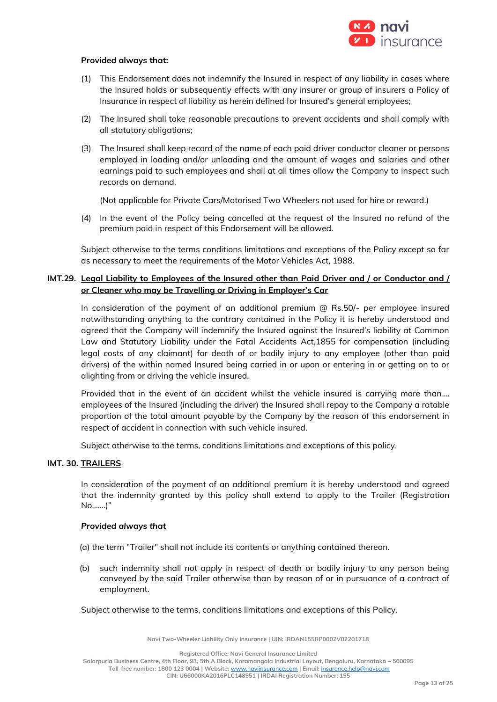

#### **Provided always that:**

- (1) This Endorsement does not indemnify the Insured in respect of any liability in cases where the Insured holds or subsequently effects with any insurer or group of insurers a Policy of Insurance in respect of liability as herein defined for Insured's general employees;
- (2) The Insured shall take reasonable precautions to prevent accidents and shall comply with all statutory obligations;
- (3) The Insured shall keep record of the name of each paid driver conductor cleaner or persons employed in loading and/or unloading and the amount of wages and salaries and other earnings paid to such employees and shall at all times allow the Company to inspect such records on demand.

(Not applicable for Private Cars/Motorised Two Wheelers not used for hire or reward.)

(4) In the event of the Policy being cancelled at the request of the Insured no refund of the premium paid in respect of this Endorsement will be allowed.

Subject otherwise to the terms conditions limitations and exceptions of the Policy except so far as necessary to meet the requirements of the Motor Vehicles Act, 1988.

## **IMT.29. Legal Liability to Employees of the Insured other than Paid Driver and / or Conductor and / or Cleaner who may be Travelling or Driving in Employer's Car**

In consideration of the payment of an additional premium @ Rs.50/- per employee insured notwithstanding anything to the contrary contained in the Policy it is hereby understood and agreed that the Company will indemnify the Insured against the Insured's liability at Common Law and Statutory Liability under the Fatal Accidents Act,1855 for compensation (including legal costs of any claimant) for death of or bodily injury to any employee (other than paid drivers) of the within named Insured being carried in or upon or entering in or getting on to or alighting from or driving the vehicle insured.

Provided that in the event of an accident whilst the vehicle insured is carrying more than.... employees of the Insured (including the driver) the Insured shall repay to the Company a ratable proportion of the total amount payable by the Company by the reason of this endorsement in respect of accident in connection with such vehicle insured.

Subject otherwise to the terms, conditions limitations and exceptions of this policy.

#### **IMT. 30. TRAILERS**

In consideration of the payment of an additional premium it is hereby understood and agreed that the indemnity granted by this policy shall extend to apply to the Trailer (Registration No.......)"

#### *Provided always that*

(a) the term "Trailer" shall not include its contents or anything contained thereon.

(b) such indemnity shall not apply in respect of death or bodily injury to any person being conveyed by the said Trailer otherwise than by reason of or in pursuance of a contract of employment.

Subject otherwise to the terms, conditions limitations and exceptions of this Policy.

**Navi Two-Wheeler Liability Only Insurance | UIN: IRDAN155RP0002V02201718**

**Registered Office: Navi General Insurance Limited**

**Salarpuria Business Centre, 4th Floor, 93, 5th A Block, Koramangala Industrial Layout, Bengaluru, Karnataka – 560095**

**Toll-free number: 1800 123 0004 | Website:** [www.naviinsurance.com](http://www.naviinsurance.com/) **| Email:** [insurance.help@navi.com](mailto:insurance.help@navi.com)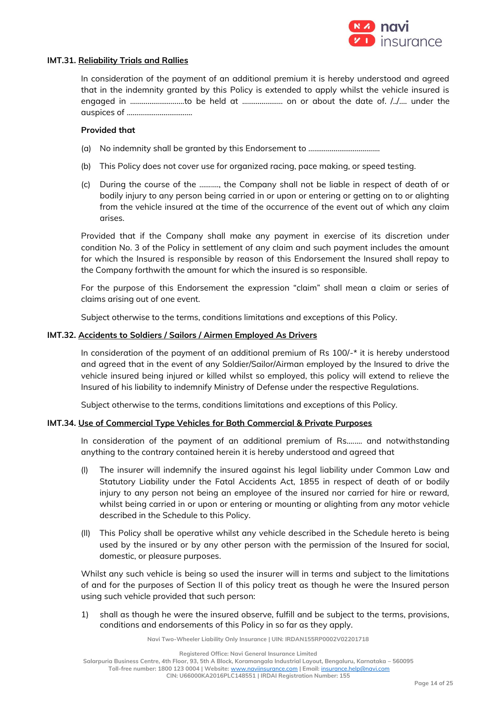

#### **IMT.31. Reliability Trials and Rallies**

In consideration of the payment of an additional premium it is hereby understood and agreed that in the indemnity granted by this Policy is extended to apply whilst the vehicle insured is engaged in ……………………….to be held at ………………… on or about the date of. /../…. under the auspices of …………………………….

#### **Provided that**

- (a) No indemnity shall be granted by this Endorsement to ……………………………….
- (b) This Policy does not cover use for organized racing, pace making, or speed testing.
- (c) During the course of the ………., the Company shall not be liable in respect of death of or bodily injury to any person being carried in or upon or entering or getting on to or alighting from the vehicle insured at the time of the occurrence of the event out of which any claim arises.

Provided that if the Company shall make any payment in exercise of its discretion under condition No. 3 of the Policy in settlement of any claim and such payment includes the amount for which the Insured is responsible by reason of this Endorsement the Insured shall repay to the Company forthwith the amount for which the insured is so responsible.

For the purpose of this Endorsement the expression "claim" shall mean a claim or series of claims arising out of one event.

Subject otherwise to the terms, conditions limitations and exceptions of this Policy.

#### **IMT.32. Accidents to Soldiers / Sailors / Airmen Employed As Drivers**

In consideration of the payment of an additional premium of Rs 100/-\* it is hereby understood and agreed that in the event of any Soldier/Sailor/Airman employed by the Insured to drive the vehicle insured being injured or killed whilst so employed, this policy will extend to relieve the Insured of his liability to indemnify Ministry of Defense under the respective Regulations.

Subject otherwise to the terms, conditions limitations and exceptions of this Policy.

## **IMT.34. Use of Commercial Type Vehicles for Both Commercial & Private Purposes**

In consideration of the payment of an additional premium of Rs.……. and notwithstanding anything to the contrary contained herein it is hereby understood and agreed that

- (I) The insurer will indemnify the insured against his legal liability under Common Law and Statutory Liability under the Fatal Accidents Act, 1855 in respect of death of or bodily injury to any person not being an employee of the insured nor carried for hire or reward, whilst being carried in or upon or entering or mounting or alighting from any motor vehicle described in the Schedule to this Policy.
- (II) This Policy shall be operative whilst any vehicle described in the Schedule hereto is being used by the insured or by any other person with the permission of the Insured for social, domestic, or pleasure purposes.

Whilst any such vehicle is being so used the insurer will in terms and subject to the limitations of and for the purposes of Section II of this policy treat as though he were the Insured person using such vehicle provided that such person:

1) shall as though he were the insured observe, fulfill and be subject to the terms, provisions, conditions and endorsements of this Policy in so far as they apply.

**Navi Two-Wheeler Liability Only Insurance | UIN: IRDAN155RP0002V02201718**

**Salarpuria Business Centre, 4th Floor, 93, 5th A Block, Koramangala Industrial Layout, Bengaluru, Karnataka – 560095**

**Toll-free number: 1800 123 0004 | Website:** [www.naviinsurance.com](http://www.naviinsurance.com/) **| Email:** [insurance.help@navi.com](mailto:insurance.help@navi.com)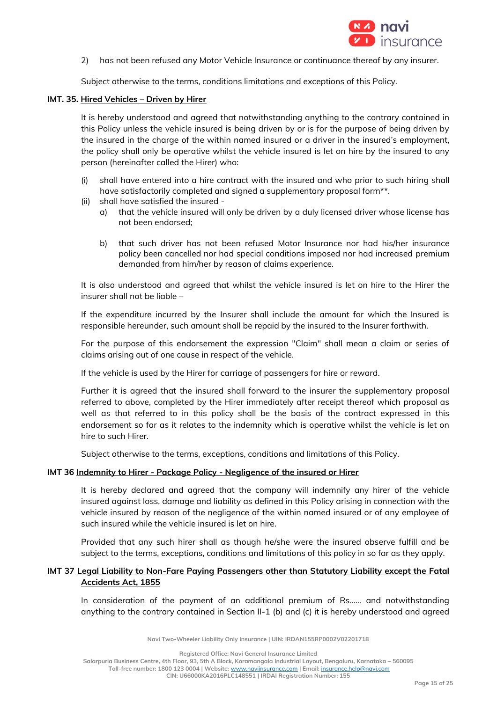

2) has not been refused any Motor Vehicle Insurance or continuance thereof by any insurer.

Subject otherwise to the terms, conditions limitations and exceptions of this Policy.

#### **IMT. 35. Hired Vehicles – Driven by Hirer**

It is hereby understood and agreed that notwithstanding anything to the contrary contained in this Policy unless the vehicle insured is being driven by or is for the purpose of being driven by the insured in the charge of the within named insured or a driver in the insured's employment, the policy shall only be operative whilst the vehicle insured is let on hire by the insured to any person (hereinafter called the Hirer) who:

- (i) shall have entered into a hire contract with the insured and who prior to such hiring shall have satisfactorily completed and signed a supplementary proposal form\*\*.
- (ii) shall have satisfied the insured
	- a) that the vehicle insured will only be driven by a duly licensed driver whose license has not been endorsed;
	- b) that such driver has not been refused Motor Insurance nor had his/her insurance policy been cancelled nor had special conditions imposed nor had increased premium demanded from him/her by reason of claims experience.

It is also understood and agreed that whilst the vehicle insured is let on hire to the Hirer the insurer shall not be liable –

If the expenditure incurred by the Insurer shall include the amount for which the Insured is responsible hereunder, such amount shall be repaid by the insured to the Insurer forthwith.

For the purpose of this endorsement the expression "Claim" shall mean a claim or series of claims arising out of one cause in respect of the vehicle.

If the vehicle is used by the Hirer for carriage of passengers for hire or reward.

Further it is agreed that the insured shall forward to the insurer the supplementary proposal referred to above, completed by the Hirer immediately after receipt thereof which proposal as well as that referred to in this policy shall be the basis of the contract expressed in this endorsement so far as it relates to the indemnity which is operative whilst the vehicle is let on hire to such Hirer.

Subject otherwise to the terms, exceptions, conditions and limitations of this Policy.

## **IMT 36 Indemnity to Hirer - Package Policy - Negligence of the insured or Hirer**

It is hereby declared and agreed that the company will indemnify any hirer of the vehicle insured against loss, damage and liability as defined in this Policy arising in connection with the vehicle insured by reason of the negligence of the within named insured or of any employee of such insured while the vehicle insured is let on hire.

Provided that any such hirer shall as though he/she were the insured observe fulfill and be subject to the terms, exceptions, conditions and limitations of this policy in so far as they apply.

## **IMT 37 Legal Liability to Non-Fare Paying Passengers other than Statutory Liability except the Fatal Accidents Act, 1855**

In consideration of the payment of an additional premium of Rs…… and notwithstanding anything to the contrary contained in Section II-1 (b) and (c) it is hereby understood and agreed

**Navi Two-Wheeler Liability Only Insurance | UIN: IRDAN155RP0002V02201718**

**Registered Office: Navi General Insurance Limited**

**Salarpuria Business Centre, 4th Floor, 93, 5th A Block, Koramangala Industrial Layout, Bengaluru, Karnataka – 560095**

**Toll-free number: 1800 123 0004 | Website:** [www.naviinsurance.com](http://www.naviinsurance.com/) **| Email:** [insurance.help@navi.com](mailto:insurance.help@navi.com)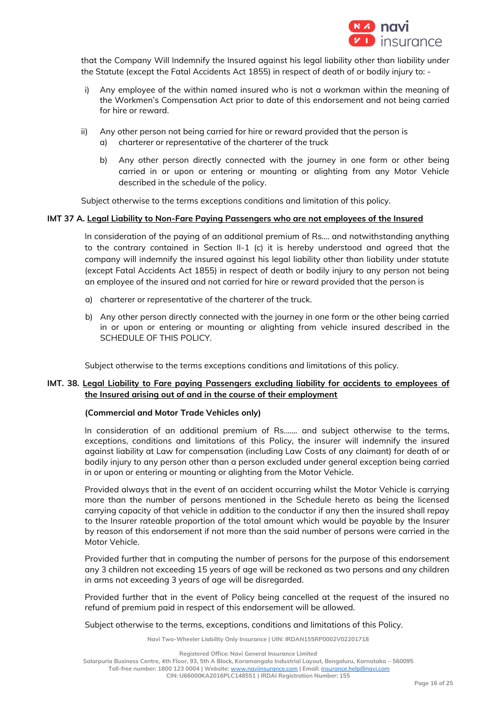

that the Company Will Indemnify the Insured against his legal liability other than liability under the Statute (except the Fatal Accidents Act 1855) in respect of death of or bodily injury to: -

- i) Any employee of the within named insured who is not a workman within the meaning of the Workmen's Compensation Act prior to date of this endorsement and not being carried for hire or reward.
- ii) Any other person not being carried for hire or reward provided that the person is a) charterer or representative of the charterer of the truck
	- b) Any other person directly connected with the journey in one form or other being carried in or upon or entering or mounting or alighting from any Motor Vehicle described in the schedule of the policy.

Subject otherwise to the terms exceptions conditions and limitation of this policy.

#### **IMT 37 A. Legal Liability to Non-Fare Paying Passengers who are not employees of the Insured**

In consideration of the paying of an additional premium of Rs…. and notwithstanding anything to the contrary contained in Section II-1 (c) it is hereby understood and agreed that the company will indemnify the insured against his legal liability other than liability under statute (except Fatal Accidents Act 1855) in respect of death or bodily injury to any person not being an employee of the insured and not carried for hire or reward provided that the person is

- a) charterer or representative of the charterer of the truck.
- b) Any other person directly connected with the journey in one form or the other being carried in or upon or entering or mounting or alighting from vehicle insured described in the SCHEDULE OF THIS POLICY.

Subject otherwise to the terms exceptions conditions and limitations of this policy.

## **IMT. 38. Legal Liability to Fare paying Passengers excluding liability for accidents to employees of the Insured arising out of and in the course of their employment**

## **(Commercial and Motor Trade Vehicles only)**

In consideration of an additional premium of Rs....... and subject otherwise to the terms, exceptions, conditions and limitations of this Policy, the insurer will indemnify the insured against liability at Law for compensation (including Law Costs of any claimant) for death of or bodily injury to any person other than a person excluded under general exception being carried in or upon or entering or mounting or alighting from the Motor Vehicle.

Provided always that in the event of an accident occurring whilst the Motor Vehicle is carrying more than the number of persons mentioned in the Schedule hereto as being the licensed carrying capacity of that vehicle in addition to the conductor if any then the insured shall repay to the Insurer rateable proportion of the total amount which would be payable by the Insurer by reason of this endorsement if not more than the said number of persons were carried in the Motor Vehicle.

Provided further that in computing the number of persons for the purpose of this endorsement any 3 children not exceeding 15 years of age will be reckoned as two persons and any children in arms not exceeding 3 years of age will be disregarded.

Provided further that in the event of Policy being cancelled at the request of the insured no refund of premium paid in respect of this endorsement will be allowed.

Subject otherwise to the terms, exceptions, conditions and limitations of this Policy.

**Navi Two-Wheeler Liability Only Insurance | UIN: IRDAN155RP0002V02201718**

**Registered Office: Navi General Insurance Limited**

**Salarpuria Business Centre, 4th Floor, 93, 5th A Block, Koramangala Industrial Layout, Bengaluru, Karnataka – 560095**

**Toll-free number: 1800 123 0004 | Website:** [www.naviinsurance.com](http://www.naviinsurance.com/) **| Email:** [insurance.help@navi.com](mailto:insurance.help@navi.com)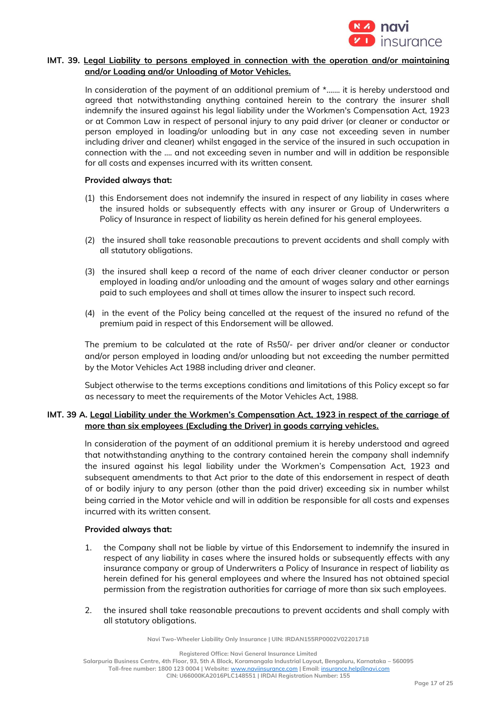

## **IMT. 39. Legal Liability to persons employed in connection with the operation and/or maintaining and/or Loading and/or Unloading of Motor Vehicles.**

In consideration of the payment of an additional premium of  $*$ ....... it is hereby understood and agreed that notwithstanding anything contained herein to the contrary the insurer shall indemnify the insured against his legal liability under the Workmen's Compensation Act, 1923 or at Common Law in respect of personal injury to any paid driver (or cleaner or conductor or person employed in loading/or unloading but in any case not exceeding seven in number including driver and cleaner) whilst engaged in the service of the insured in such occupation in connection with the .... and not exceeding seven in number and will in addition be responsible for all costs and expenses incurred with its written consent.

#### **Provided always that:**

- (1) this Endorsement does not indemnify the insured in respect of any liability in cases where the insured holds or subsequently effects with any insurer or Group of Underwriters a Policy of Insurance in respect of liability as herein defined for his general employees.
- (2) the insured shall take reasonable precautions to prevent accidents and shall comply with all statutory obligations.
- (3) the insured shall keep a record of the name of each driver cleaner conductor or person employed in loading and/or unloading and the amount of wages salary and other earnings paid to such employees and shall at times allow the insurer to inspect such record.
- (4) in the event of the Policy being cancelled at the request of the insured no refund of the premium paid in respect of this Endorsement will be allowed.

The premium to be calculated at the rate of Rs50/- per driver and/or cleaner or conductor and/or person employed in loading and/or unloading but not exceeding the number permitted by the Motor Vehicles Act 1988 including driver and cleaner.

Subject otherwise to the terms exceptions conditions and limitations of this Policy except so far as necessary to meet the requirements of the Motor Vehicles Act, 1988.

## **IMT. 39 A. Legal Liability under the Workmen's Compensation Act, 1923 in respect of the carriage of more than six employees (Excluding the Driver) in goods carrying vehicles.**

In consideration of the payment of an additional premium it is hereby understood and agreed that notwithstanding anything to the contrary contained herein the company shall indemnify the insured against his legal liability under the Workmen's Compensation Act, 1923 and subsequent amendments to that Act prior to the date of this endorsement in respect of death of or bodily injury to any person (other than the paid driver) exceeding six in number whilst being carried in the Motor vehicle and will in addition be responsible for all costs and expenses incurred with its written consent.

## **Provided always that:**

- 1. the Company shall not be liable by virtue of this Endorsement to indemnify the insured in respect of any liability in cases where the insured holds or subsequently effects with any insurance company or group of Underwriters a Policy of Insurance in respect of liability as herein defined for his general employees and where the Insured has not obtained special permission from the registration authorities for carriage of more than six such employees.
- 2. the insured shall take reasonable precautions to prevent accidents and shall comply with all statutory obligations.

**Navi Two-Wheeler Liability Only Insurance | UIN: IRDAN155RP0002V02201718**

**Registered Office: Navi General Insurance Limited**

**Salarpuria Business Centre, 4th Floor, 93, 5th A Block, Koramangala Industrial Layout, Bengaluru, Karnataka – 560095 Toll-free number: 1800 123 0004 | Website:** [www.naviinsurance.com](http://www.naviinsurance.com/) **| Email:** [insurance.help@navi.com](mailto:insurance.help@navi.com)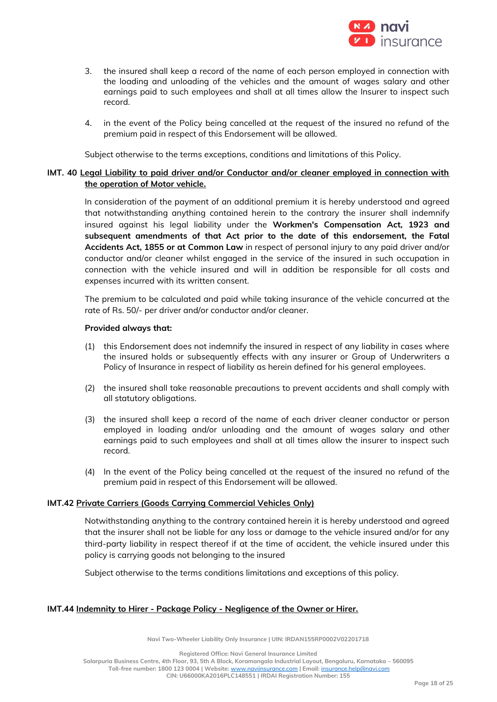

- 3. the insured shall keep a record of the name of each person employed in connection with the loading and unloading of the vehicles and the amount of wages salary and other earnings paid to such employees and shall at all times allow the Insurer to inspect such record.
- 4. in the event of the Policy being cancelled at the request of the insured no refund of the premium paid in respect of this Endorsement will be allowed.

Subject otherwise to the terms exceptions, conditions and limitations of this Policy.

## **IMT. 40 Legal Liability to paid driver and/or Conductor and/or cleaner employed in connection with the operation of Motor vehicle.**

In consideration of the payment of an additional premium it is hereby understood and agreed that notwithstanding anything contained herein to the contrary the insurer shall indemnify insured against his legal liability under the **Workmen's Compensation Act, 1923 and subsequent amendments of that Act prior to the date of this endorsement, the Fatal Accidents Act, 1855 or at Common Law** in respect of personal injury to any paid driver and/or conductor and/or cleaner whilst engaged in the service of the insured in such occupation in connection with the vehicle insured and will in addition be responsible for all costs and expenses incurred with its written consent.

The premium to be calculated and paid while taking insurance of the vehicle concurred at the rate of Rs. 50/- per driver and/or conductor and/or cleaner.

#### **Provided always that:**

- (1) this Endorsement does not indemnify the insured in respect of any liability in cases where the insured holds or subsequently effects with any insurer or Group of Underwriters a Policy of Insurance in respect of liability as herein defined for his general employees.
- (2) the insured shall take reasonable precautions to prevent accidents and shall comply with all statutory obligations.
- (3) the insured shall keep a record of the name of each driver cleaner conductor or person employed in loading and/or unloading and the amount of wages salary and other earnings paid to such employees and shall at all times allow the insurer to inspect such record.
- (4) In the event of the Policy being cancelled at the request of the insured no refund of the premium paid in respect of this Endorsement will be allowed.

## **IMT.42 Private Carriers (Goods Carrying Commercial Vehicles Only)**

Notwithstanding anything to the contrary contained herein it is hereby understood and agreed that the insurer shall not be liable for any loss or damage to the vehicle insured and/or for any third-party liability in respect thereof if at the time of accident, the vehicle insured under this policy is carrying goods not belonging to the insured

Subject otherwise to the terms conditions limitations and exceptions of this policy.

#### **IMT.44 Indemnity to Hirer - Package Policy - Negligence of the Owner or Hirer.**

**Navi Two-Wheeler Liability Only Insurance | UIN: IRDAN155RP0002V02201718**

**Registered Office: Navi General Insurance Limited Salarpuria Business Centre, 4th Floor, 93, 5th A Block, Koramangala Industrial Layout, Bengaluru, Karnataka – 560095 Toll-free number: 1800 123 0004 | Website:** [www.naviinsurance.com](http://www.naviinsurance.com/) **| Email:** [insurance.help@navi.com](mailto:insurance.help@navi.com) **CIN: U66000KA2016PLC148551 | IRDAI Registration Number: 155**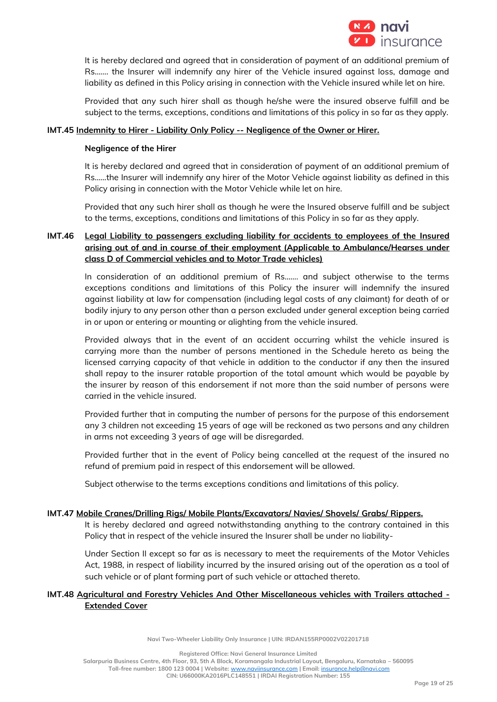

It is hereby declared and agreed that in consideration of payment of an additional premium of Rs……. the Insurer will indemnify any hirer of the Vehicle insured against loss, damage and liability as defined in this Policy arising in connection with the Vehicle insured while let on hire.

Provided that any such hirer shall as though he/she were the insured observe fulfill and be subject to the terms, exceptions, conditions and limitations of this policy in so far as they apply.

#### **IMT.45 Indemnity to Hirer - Liability Only Policy -- Negligence of the Owner or Hirer.**

#### **Negligence of the Hirer**

It is hereby declared and agreed that in consideration of payment of an additional premium of Rs……the Insurer will indemnify any hirer of the Motor Vehicle against liability as defined in this Policy arising in connection with the Motor Vehicle while let on hire.

Provided that any such hirer shall as though he were the Insured observe fulfill and be subject to the terms, exceptions, conditions and limitations of this Policy in so far as they apply.

## **IMT.46 Legal Liability to passengers excluding liability for accidents to employees of the Insured arising out of and in course of their employment (Applicable to Ambulance/Hearses under class D of Commercial vehicles and to Motor Trade vehicles)**

In consideration of an additional premium of Rs……. and subject otherwise to the terms exceptions conditions and limitations of this Policy the insurer will indemnify the insured against liability at law for compensation (including legal costs of any claimant) for death of or bodily injury to any person other than a person excluded under general exception being carried in or upon or entering or mounting or alighting from the vehicle insured.

Provided always that in the event of an accident occurring whilst the vehicle insured is carrying more than the number of persons mentioned in the Schedule hereto as being the licensed carrying capacity of that vehicle in addition to the conductor if any then the insured shall repay to the insurer ratable proportion of the total amount which would be payable by the insurer by reason of this endorsement if not more than the said number of persons were carried in the vehicle insured.

Provided further that in computing the number of persons for the purpose of this endorsement any 3 children not exceeding 15 years of age will be reckoned as two persons and any children in arms not exceeding 3 years of age will be disregarded.

Provided further that in the event of Policy being cancelled at the request of the insured no refund of premium paid in respect of this endorsement will be allowed.

Subject otherwise to the terms exceptions conditions and limitations of this policy.

## **IMT.47 Mobile Cranes/Drilling Rigs/ Mobile Plants/Excavators/ Navies/ Shovels/ Grabs/ Rippers.**

It is hereby declared and agreed notwithstanding anything to the contrary contained in this Policy that in respect of the vehicle insured the Insurer shall be under no liability-

Under Section II except so far as is necessary to meet the requirements of the Motor Vehicles Act, 1988, in respect of liability incurred by the insured arising out of the operation as a tool of such vehicle or of plant forming part of such vehicle or attached thereto.

## **IMT.48 Agricultural and Forestry Vehicles And Other Miscellaneous vehicles with Trailers attached - Extended Cover**

**Navi Two-Wheeler Liability Only Insurance | UIN: IRDAN155RP0002V02201718**

**Registered Office: Navi General Insurance Limited Salarpuria Business Centre, 4th Floor, 93, 5th A Block, Koramangala Industrial Layout, Bengaluru, Karnataka – 560095 Toll-free number: 1800 123 0004 | Website:** [www.naviinsurance.com](http://www.naviinsurance.com/) **| Email:** [insurance.help@navi.com](mailto:insurance.help@navi.com) **CIN: U66000KA2016PLC148551 | IRDAI Registration Number: 155**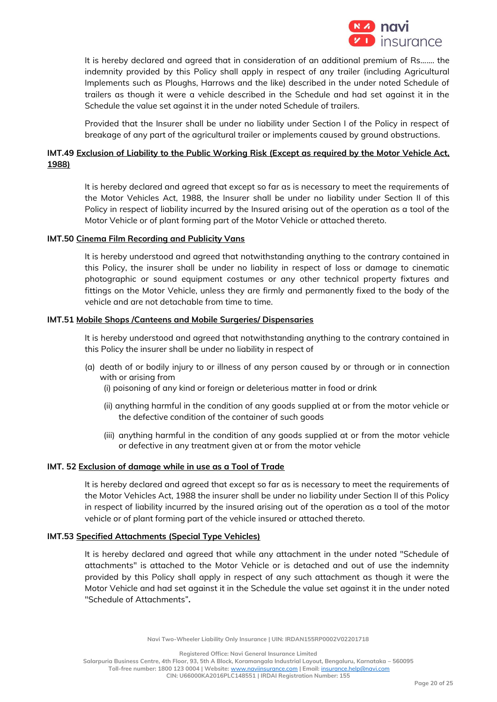

It is hereby declared and agreed that in consideration of an additional premium of Rs……. the indemnity provided by this Policy shall apply in respect of any trailer (including Agricultural Implements such as Ploughs, Harrows and the like) described in the under noted Schedule of trailers as though it were a vehicle described in the Schedule and had set against it in the Schedule the value set against it in the under noted Schedule of trailers.

Provided that the Insurer shall be under no liability under Section I of the Policy in respect of breakage of any part of the agricultural trailer or implements caused by ground obstructions.

## **IMT.49 Exclusion of Liability to the Public Working Risk (Except as required by the Motor Vehicle Act, 1988)**

It is hereby declared and agreed that except so far as is necessary to meet the requirements of the Motor Vehicles Act, 1988, the Insurer shall be under no liability under Section II of this Policy in respect of liability incurred by the Insured arising out of the operation as a tool of the Motor Vehicle or of plant forming part of the Motor Vehicle or attached thereto.

## **IMT.50 Cinema Film Recording and Publicity Vans**

It is hereby understood and agreed that notwithstanding anything to the contrary contained in this Policy, the insurer shall be under no liability in respect of loss or damage to cinematic photographic or sound equipment costumes or any other technical property fixtures and fittings on the Motor Vehicle, unless they are firmly and permanently fixed to the body of the vehicle and are not detachable from time to time.

#### **IMT.51 Mobile Shops /Canteens and Mobile Surgeries/ Dispensaries**

It is hereby understood and agreed that notwithstanding anything to the contrary contained in this Policy the insurer shall be under no liability in respect of

- (a) death of or bodily injury to or illness of any person caused by or through or in connection with or arising from
	- (i) poisoning of any kind or foreign or deleterious matter in food or drink
	- (ii) anything harmful in the condition of any goods supplied at or from the motor vehicle or the defective condition of the container of such goods
	- (iii) anything harmful in the condition of any goods supplied at or from the motor vehicle or defective in any treatment given at or from the motor vehicle

## **IMT. 52 Exclusion of damage while in use as a Tool of Trade**

It is hereby declared and agreed that except so far as is necessary to meet the requirements of the Motor Vehicles Act, 1988 the insurer shall be under no liability under Section II of this Policy in respect of liability incurred by the insured arising out of the operation as a tool of the motor vehicle or of plant forming part of the vehicle insured or attached thereto.

#### **IMT.53 Specified Attachments (Special Type Vehicles)**

It is hereby declared and agreed that while any attachment in the under noted "Schedule of attachments" is attached to the Motor Vehicle or is detached and out of use the indemnity provided by this Policy shall apply in respect of any such attachment as though it were the Motor Vehicle and had set against it in the Schedule the value set against it in the under noted "Schedule of Attachments"**.**

**Navi Two-Wheeler Liability Only Insurance | UIN: IRDAN155RP0002V02201718**

**Registered Office: Navi General Insurance Limited**

**Salarpuria Business Centre, 4th Floor, 93, 5th A Block, Koramangala Industrial Layout, Bengaluru, Karnataka – 560095**

**Toll-free number: 1800 123 0004 | Website:** [www.naviinsurance.com](http://www.naviinsurance.com/) **| Email:** [insurance.help@navi.com](mailto:insurance.help@navi.com)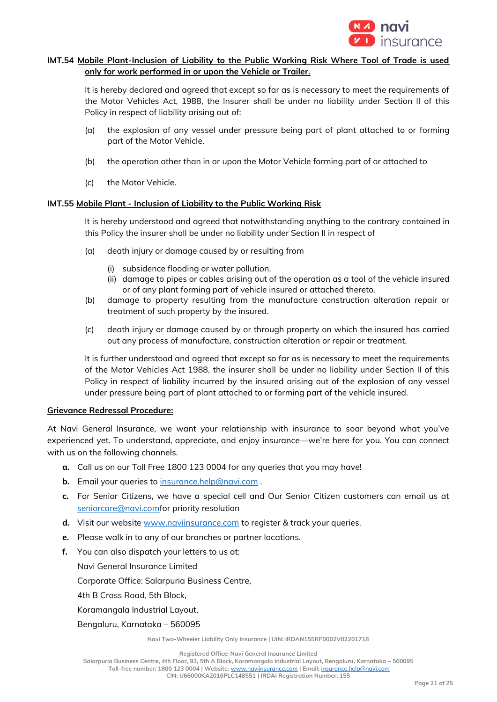

## **IMT.54 Mobile Plant-Inclusion of Liability to the Public Working Risk Where Tool of Trade is used only for work performed in or upon the Vehicle or Trailer.**

It is hereby declared and agreed that except so far as is necessary to meet the requirements of the Motor Vehicles Act, 1988, the Insurer shall be under no liability under Section II of this Policy in respect of liability arising out of:

- (a) the explosion of any vessel under pressure being part of plant attached to or forming part of the Motor Vehicle.
- (b) the operation other than in or upon the Motor Vehicle forming part of or attached to
- (c) the Motor Vehicle.

## **IMT.55 Mobile Plant - Inclusion of Liability to the Public Working Risk**

It is hereby understood and agreed that notwithstanding anything to the contrary contained in this Policy the insurer shall be under no liability under Section II in respect of

- (a) death injury or damage caused by or resulting from
	- (i) subsidence flooding or water pollution.
	- (ii) damage to pipes or cables arising out of the operation as a tool of the vehicle insured or of any plant forming part of vehicle insured or attached thereto.
- (b) damage to property resulting from the manufacture construction alteration repair or treatment of such property by the insured.
- (c) death injury or damage caused by or through property on which the insured has carried out any process of manufacture, construction alteration or repair or treatment.

It is further understood and agreed that except so far as is necessary to meet the requirements of the Motor Vehicles Act 1988, the insurer shall be under no liability under Section II of this Policy in respect of liability incurred by the insured arising out of the explosion of any vessel under pressure being part of plant attached to or forming part of the vehicle insured.

## **Grievance Redressal Procedure:**

At Navi General Insurance, we want your relationship with insurance to soar beyond what you've experienced yet. To understand, appreciate, and enjoy insurance—we're here for you. You can connect with us on the following channels.

- **a.** Call us on our Toll Free 1800 123 0004 for any queries that you may have!
- **b.** Email your queries to [insurance.help@navi.com](mailto:insurance.help@navi.com).
- **c.** For Senior Citizens, we have a special cell and Our Senior Citizen customers can email us at [seniorcare@navi.comf](mailto:seniorcare@navi.com)or priority resolution
- **d.** Visit our website [www.naviinsurance.com](http://www.naviinsurance.com/) to register & track your queries.
- **e.** Please walk in to any of our branches or partner locations.
- **f.** You can also dispatch your letters to us at:
	- Navi General Insurance Limited

Corporate Office: Salarpuria Business Centre,

4th B Cross Road, 5th Block,

Koramangala Industrial Layout,

Bengaluru, Karnataka – 560095

**Navi Two-Wheeler Liability Only Insurance | UIN: IRDAN155RP0002V02201718**

**Registered Office: Navi General Insurance Limited**

**Salarpuria Business Centre, 4th Floor, 93, 5th A Block, Koramangala Industrial Layout, Bengaluru, Karnataka – 560095**

**Toll-free number: 1800 123 0004 | Website:** [www.naviinsurance.com](http://www.naviinsurance.com/) **| Email:** [insurance.help@navi.com](mailto:insurance.help@navi.com) **CIN: U66000KA2016PLC148551 | IRDAI Registration Number: 155**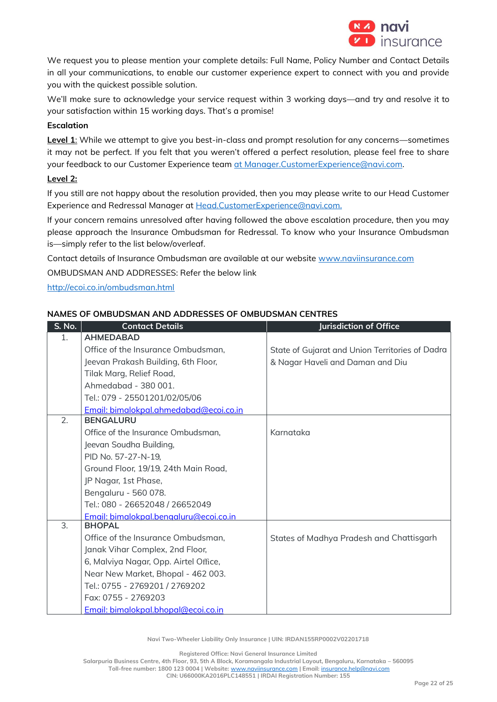

We request you to please mention your complete details: Full Name, Policy Number and Contact Details in all your communications, to enable our customer experience expert to connect with you and provide you with the quickest possible solution.

We'll make sure to acknowledge your service request within 3 working days—and try and resolve it to your satisfaction within 15 working days. That's a promise!

## **Escalation**

**Level 1**: While we attempt to give you best-in-class and prompt resolution for any concerns—sometimes it may not be perfect. If you felt that you weren't offered a perfect resolution, please feel free to share your feedback to our Customer Experience team [at Manager.CustomerExperience@navi.com.](mailto:at%20Manager.CustomerExperience@navi.com)

## **Level 2:**

If you still are not happy about the resolution provided, then you may please write to our Head Customer Experience and Redressal Manager at Head.CustomerExperience@navi.com.

If your concern remains unresolved after having followed the above escalation procedure, then you may please approach the Insurance Ombudsman for Redressal. To know who your Insurance Ombudsman is—simply refer to the list below/overleaf.

Contact details of Insurance Ombudsman are available at our website [www.naviinsurance.com](http://www.naviinsurance.com/)

OMBUDSMAN AND ADDRESSES: Refer the below link

<http://ecoi.co.in/ombudsman.html>

## **NAMES OF OMBUDSMAN AND ADDRESSES OF OMBUDSMAN CENTRES**

| S. No. | <b>Contact Details</b>                 | <b>Jurisdiction of Office</b>                   |
|--------|----------------------------------------|-------------------------------------------------|
| 1.     | <b>AHMEDABAD</b>                       |                                                 |
|        | Office of the Insurance Ombudsman,     | State of Gujarat and Union Territories of Dadra |
|        | Jeevan Prakash Building, 6th Floor,    | & Nagar Haveli and Daman and Diu                |
|        | Tilak Marg, Relief Road,               |                                                 |
|        | Ahmedabad - 380 001.                   |                                                 |
|        | Tel.: 079 - 25501201/02/05/06          |                                                 |
|        | Email: bimalokpal.ahmedabad@ecoi.co.in |                                                 |
| 2.     | <b>BENGALURU</b>                       |                                                 |
|        | Office of the Insurance Ombudsman,     | Karnataka                                       |
|        | Jeevan Soudha Building,                |                                                 |
|        | PID No. 57-27-N-19,                    |                                                 |
|        | Ground Floor, 19/19, 24th Main Road,   |                                                 |
|        | JP Nagar, 1st Phase,                   |                                                 |
|        | Bengaluru - 560 078.                   |                                                 |
|        | Tel.: 080 - 26652048 / 26652049        |                                                 |
|        | Email: bimalokpal.benaaluru@ecoi.co.in |                                                 |
| 3.     | <b>BHOPAL</b>                          |                                                 |
|        | Office of the Insurance Ombudsman,     | States of Madhya Pradesh and Chattisgarh        |
|        | Janak Vihar Complex, 2nd Floor,        |                                                 |
|        | 6, Malviya Nagar, Opp. Airtel Office,  |                                                 |
|        | Near New Market, Bhopal - 462 003.     |                                                 |
|        | Tel.: 0755 - 2769201 / 2769202         |                                                 |
|        | Fax: 0755 - 2769203                    |                                                 |
|        | Email: bimalokpal.bhopal@ecoi.co.in    |                                                 |

**Navi Two-Wheeler Liability Only Insurance | UIN: IRDAN155RP0002V02201718**

**Registered Office: Navi General Insurance Limited**

**Salarpuria Business Centre, 4th Floor, 93, 5th A Block, Koramangala Industrial Layout, Bengaluru, Karnataka – 560095**

**Toll-free number: 1800 123 0004 | Website:** [www.naviinsurance.com](http://www.naviinsurance.com/) **| Email:** [insurance.help@navi.com](mailto:insurance.help@navi.com)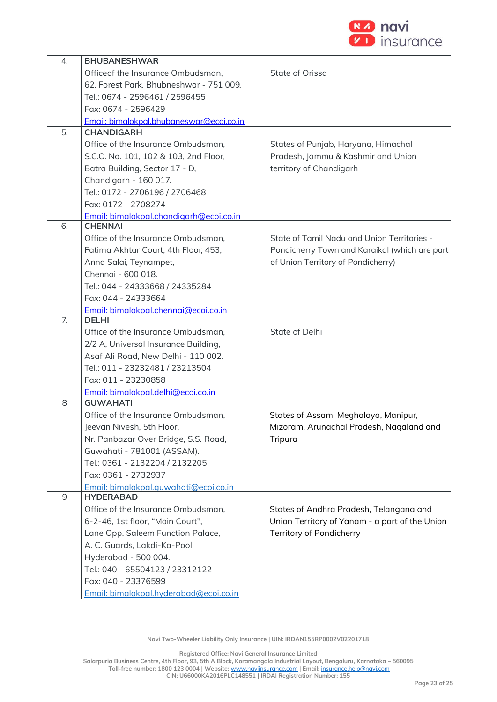

| 4. | <b>BHUBANESHWAR</b>                      |                                                |
|----|------------------------------------------|------------------------------------------------|
|    | Officeof the Insurance Ombudsman,        | State of Orissa                                |
|    | 62, Forest Park, Bhubneshwar - 751 009.  |                                                |
|    | Tel.: 0674 - 2596461 / 2596455           |                                                |
|    | Fax: 0674 - 2596429                      |                                                |
|    | Email: bimalokpal.bhubaneswar@ecoi.co.in |                                                |
| 5. | <b>CHANDIGARH</b>                        |                                                |
|    | Office of the Insurance Ombudsman,       | States of Punjab, Haryana, Himachal            |
|    | S.C.O. No. 101, 102 & 103, 2nd Floor,    | Pradesh, Jammu & Kashmir and Union             |
|    | Batra Building, Sector 17 - D,           | territory of Chandigarh                        |
|    | Chandigarh - 160 017.                    |                                                |
|    | Tel.: 0172 - 2706196 / 2706468           |                                                |
|    | Fax: 0172 - 2708274                      |                                                |
|    | Email: bimalokpal.chandigarh@ecoi.co.in  |                                                |
| 6. | <b>CHENNAI</b>                           |                                                |
|    | Office of the Insurance Ombudsman,       | State of Tamil Nadu and Union Territories -    |
|    | Fatima Akhtar Court, 4th Floor, 453,     | Pondicherry Town and Karaikal (which are part  |
|    | Anna Salai, Teynampet,                   | of Union Territory of Pondicherry)             |
|    | Chennai - 600 018.                       |                                                |
|    | Tel.: 044 - 24333668 / 24335284          |                                                |
|    | Fax: 044 - 24333664                      |                                                |
|    | Email: bimalokpal.chennai@ecoi.co.in     |                                                |
| 7. | <b>DELHI</b>                             |                                                |
|    | Office of the Insurance Ombudsman,       | State of Delhi                                 |
|    | 2/2 A, Universal Insurance Building,     |                                                |
|    | Asaf Ali Road, New Delhi - 110 002.      |                                                |
|    | Tel.: 011 - 23232481 / 23213504          |                                                |
|    | Fax: 011 - 23230858                      |                                                |
|    | Email: bimalokpal.delhi@ecoi.co.in       |                                                |
| 8. | <b>GUWAHATI</b>                          |                                                |
|    | Office of the Insurance Ombudsman,       | States of Assam, Meghalaya, Manipur,           |
|    | Jeevan Nivesh, 5th Floor,                | Mizoram, Arunachal Pradesh, Nagaland and       |
|    | Nr. Panbazar Over Bridge, S.S. Road,     | Tripura                                        |
|    | Guwahati - 781001 (ASSAM).               |                                                |
|    | Tel.: 0361 - 2132204 / 2132205           |                                                |
|    | Fax: 0361 - 2732937                      |                                                |
|    | Email: bimalokpal.quwahati@ecoi.co.in    |                                                |
| 9. | <b>HYDERABAD</b>                         |                                                |
|    | Office of the Insurance Ombudsman,       | States of Andhra Pradesh, Telangana and        |
|    | 6-2-46, 1st floor, "Moin Court",         | Union Territory of Yanam - a part of the Union |
|    | Lane Opp. Saleem Function Palace,        | Territory of Pondicherry                       |
|    | A. C. Guards, Lakdi-Ka-Pool,             |                                                |
|    | Hyderabad - 500 004.                     |                                                |
|    | Tel.: 040 - 65504123 / 23312122          |                                                |
|    | Fax: 040 - 23376599                      |                                                |
|    | Email: bimalokpal.hyderabad@ecoi.co.in   |                                                |

**Registered Office: Navi General Insurance Limited**

**Salarpuria Business Centre, 4th Floor, 93, 5th A Block, Koramangala Industrial Layout, Bengaluru, Karnataka – 560095**

**Toll-free number: 1800 123 0004 | Website:** [www.naviinsurance.com](http://www.naviinsurance.com/) **| Email:** [insurance.help@navi.com](mailto:insurance.help@navi.com)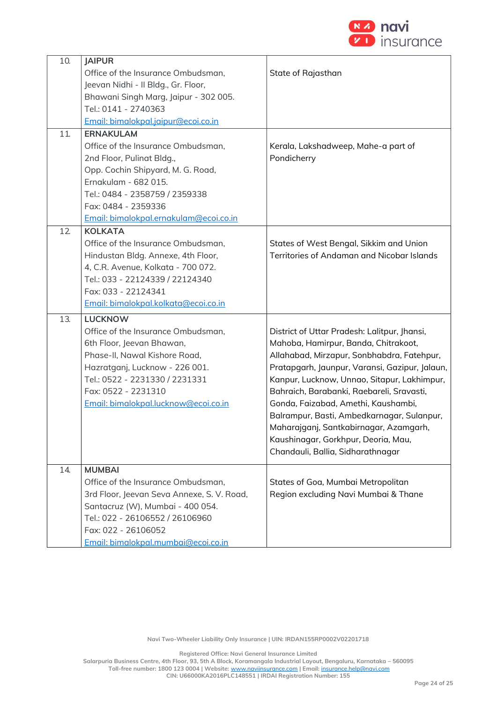

| 10. | <b>JAIPUR</b>                              |                                                |
|-----|--------------------------------------------|------------------------------------------------|
|     | Office of the Insurance Ombudsman,         | State of Rajasthan                             |
|     | Jeevan Nidhi - Il Bldg., Gr. Floor,        |                                                |
|     | Bhawani Singh Marg, Jaipur - 302 005.      |                                                |
|     | Tel.: 0141 - 2740363                       |                                                |
|     | Email: bimalokpal.jaipur@ecoi.co.in        |                                                |
| 11. | <b>ERNAKULAM</b>                           |                                                |
|     | Office of the Insurance Ombudsman,         | Kerala, Lakshadweep, Mahe-a part of            |
|     | 2nd Floor, Pulinat Bldg.,                  | Pondicherry                                    |
|     | Opp. Cochin Shipyard, M. G. Road,          |                                                |
|     | Ernakulam - 682 015.                       |                                                |
|     | Tel.: 0484 - 2358759 / 2359338             |                                                |
|     | Fax: 0484 - 2359336                        |                                                |
|     | Email: bimalokpal.ernakulam@ecoi.co.in     |                                                |
| 12  | <b>KOLKATA</b>                             |                                                |
|     | Office of the Insurance Ombudsman,         | States of West Bengal, Sikkim and Union        |
|     | Hindustan Bldg. Annexe, 4th Floor,         | Territories of Andaman and Nicobar Islands     |
|     | 4, C.R. Avenue, Kolkata - 700 072.         |                                                |
|     | Tel.: 033 - 22124339 / 22124340            |                                                |
|     | Fax: 033 - 22124341                        |                                                |
|     | Email: bimalokpal.kolkata@ecoi.co.in       |                                                |
| 13. | <b>LUCKNOW</b>                             |                                                |
|     | Office of the Insurance Ombudsman,         | District of Uttar Pradesh: Lalitpur, Jhansi,   |
|     | 6th Floor, Jeevan Bhawan,                  | Mahoba, Hamirpur, Banda, Chitrakoot,           |
|     | Phase-II, Nawal Kishore Road,              | Allahabad, Mirzapur, Sonbhabdra, Fatehpur,     |
|     | Hazratganj, Lucknow - 226 001.             | Pratapgarh, Jaunpur, Varansi, Gazipur, Jalaun, |
|     | Tel.: 0522 - 2231330 / 2231331             | Kanpur, Lucknow, Unnao, Sitapur, Lakhimpur,    |
|     | Fax: 0522 - 2231310                        | Bahraich, Barabanki, Raebareli, Sravasti,      |
|     | Email: bimalokpal.lucknow@ecoi.co.in       | Gonda, Faizabad, Amethi, Kaushambi,            |
|     |                                            | Balrampur, Basti, Ambedkarnagar, Sulanpur,     |
|     |                                            | Maharajganj, Santkabirnagar, Azamgarh,         |
|     |                                            | Kaushinagar, Gorkhpur, Deoria, Mau,            |
|     |                                            | Chandauli, Ballia, Sidharathnagar              |
| 14. | <b>MUMBAI</b>                              |                                                |
|     | Office of the Insurance Ombudsman,         | States of Goa, Mumbai Metropolitan             |
|     | 3rd Floor, Jeevan Seva Annexe, S. V. Road, | Region excluding Navi Mumbai & Thane           |
|     | Santacruz (W), Mumbai - 400 054.           |                                                |
|     | Tel.: 022 - 26106552 / 26106960            |                                                |
|     | Fax: 022 - 26106052                        |                                                |
|     | Email: bimalokpal.mumbai@ecoi.co.in        |                                                |

**Navi Two-Wheeler Liability Only Insurance | UIN: IRDAN155RP0002V02201718**

**Registered Office: Navi General Insurance Limited**

**Salarpuria Business Centre, 4th Floor, 93, 5th A Block, Koramangala Industrial Layout, Bengaluru, Karnataka – 560095**

**Toll-free number: 1800 123 0004 | Website:** [www.naviinsurance.com](http://www.naviinsurance.com/) **| Email:** [insurance.help@navi.com](mailto:insurance.help@navi.com)